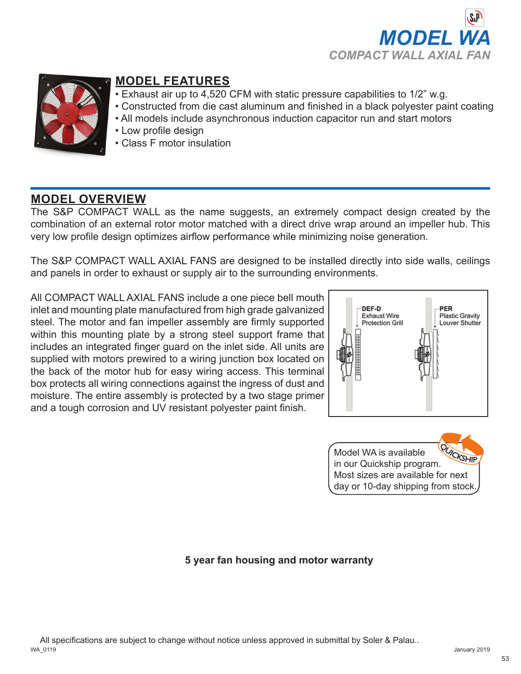



### **MODEL FEATURES**

- Exhaust air up to 4,520 CFM with static pressure capabilities to 1/2" w.g.
- Constructed from die cast aluminum and finished in a black polyester paint coating
	- All models include asynchronous induction capacitor run and start motors
	- Low profile design
	- Class F motor insulation

## **MODEL OVERVIEW**

The S&P COMPACT WALL as the name suggests, an extremely compact design created by the combination of an external rotor motor matched with a direct drive wrap around an impeller hub. This very low profile design optimizes airflow performance while minimizing noise generation.

The S&P COMPACT WALL AXIAL FANS are designed to be installed directly into side walls, ceilings and panels in order to exhaust or supply air to the surrounding environments.

All COMPACT WALL AXIAL FANS include a one piece bell mouth inlet and mounting plate manufactured from high grade galvanized steel. The motor and fan impeller assembly are firmly supported within this mounting plate by a strong steel support frame that includes an integrated finger guard on the inlet side. All units are supplied with motors prewired to a wiring junction box located on the back of the motor hub for easy wiring access. This terminal box protects all wiring connections against the ingress of dust and moisture. The entire assembly is protected by a two stage primer and a tough corrosion and UV resistant polyester paint finish.





### **5 year fan housing and motor warranty**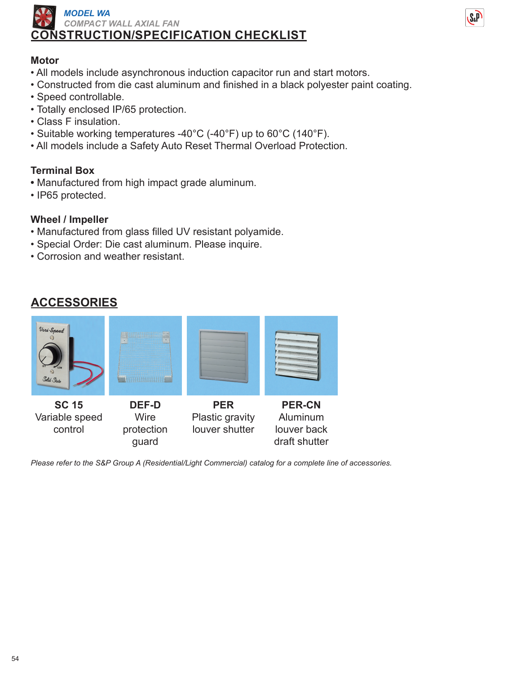



#### **Motor**

- All models include asynchronous induction capacitor run and start motors.
- Constructed from die cast aluminum and finished in a black polyester paint coating.
- Speed controllable.
- Totally enclosed IP/65 protection.
- Class F insulation.
- Suitable working temperatures -40°C (-40°F) up to 60°C (140°F).
- All models include a Safety Auto Reset Thermal Overload Protection.

#### **Terminal Box**

- Manufactured from high impact grade aluminum.
- IP65 protected.

#### **Wheel / Impeller**

- Manufactured from glass filled UV resistant polyamide.
- Special Order: Die cast aluminum. Please inquire.
- Corrosion and weather resistant.

|  |  |  | <b>ACCESSORIES</b> |
|--|--|--|--------------------|
|  |  |  |                    |



*Please refer to the S&P Group A (Residential/Light Commercial) catalog for a complete line of accessories.*